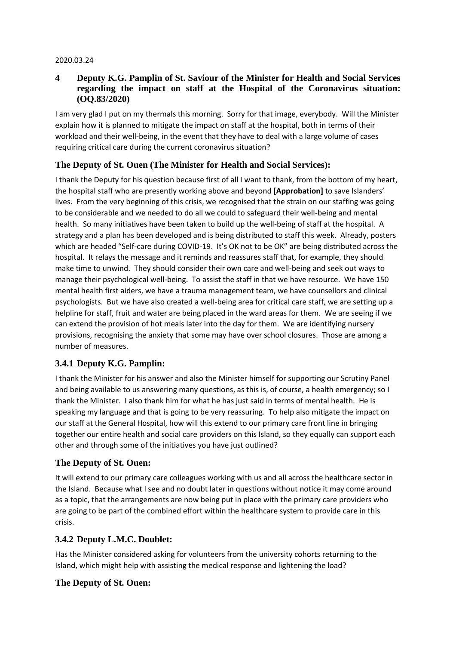#### 2020.03.24

### **4 Deputy K.G. Pamplin of St. Saviour of the Minister for Health and Social Services regarding the impact on staff at the Hospital of the Coronavirus situation: (OQ.83/2020)**

I am very glad I put on my thermals this morning. Sorry for that image, everybody. Will the Minister explain how it is planned to mitigate the impact on staff at the hospital, both in terms of their workload and their well-being, in the event that they have to deal with a large volume of cases requiring critical care during the current coronavirus situation?

# **The Deputy of St. Ouen (The Minister for Health and Social Services):**

I thank the Deputy for his question because first of all I want to thank, from the bottom of my heart, the hospital staff who are presently working above and beyond **[Approbation]** to save Islanders' lives. From the very beginning of this crisis, we recognised that the strain on our staffing was going to be considerable and we needed to do all we could to safeguard their well-being and mental health. So many initiatives have been taken to build up the well-being of staff at the hospital. A strategy and a plan has been developed and is being distributed to staff this week. Already, posters which are headed "Self-care during COVID-19. It's OK not to be OK" are being distributed across the hospital. It relays the message and it reminds and reassures staff that, for example, they should make time to unwind. They should consider their own care and well-being and seek out ways to manage their psychological well-being. To assist the staff in that we have resource. We have 150 mental health first aiders, we have a trauma management team, we have counsellors and clinical psychologists. But we have also created a well-being area for critical care staff, we are setting up a helpline for staff, fruit and water are being placed in the ward areas for them. We are seeing if we can extend the provision of hot meals later into the day for them. We are identifying nursery provisions, recognising the anxiety that some may have over school closures. Those are among a number of measures.

### **3.4.1 Deputy K.G. Pamplin:**

I thank the Minister for his answer and also the Minister himself for supporting our Scrutiny Panel and being available to us answering many questions, as this is, of course, a health emergency; so I thank the Minister. I also thank him for what he has just said in terms of mental health. He is speaking my language and that is going to be very reassuring. To help also mitigate the impact on our staff at the General Hospital, how will this extend to our primary care front line in bringing together our entire health and social care providers on this Island, so they equally can support each other and through some of the initiatives you have just outlined?

### **The Deputy of St. Ouen:**

It will extend to our primary care colleagues working with us and all across the healthcare sector in the Island. Because what I see and no doubt later in questions without notice it may come around as a topic, that the arrangements are now being put in place with the primary care providers who are going to be part of the combined effort within the healthcare system to provide care in this crisis.

### **3.4.2 Deputy L.M.C. Doublet:**

Has the Minister considered asking for volunteers from the university cohorts returning to the Island, which might help with assisting the medical response and lightening the load?

### **The Deputy of St. Ouen:**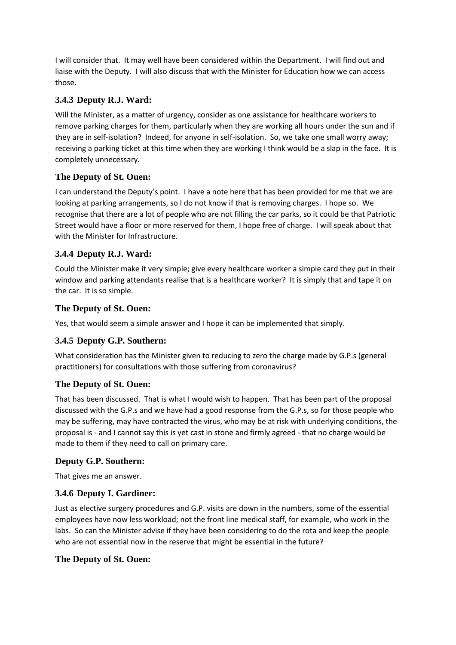I will consider that. It may well have been considered within the Department. I will find out and liaise with the Deputy. I will also discuss that with the Minister for Education how we can access those.

## **3.4.3 Deputy R.J. Ward:**

Will the Minister, as a matter of urgency, consider as one assistance for healthcare workers to remove parking charges for them, particularly when they are working all hours under the sun and if they are in self-isolation? Indeed, for anyone in self-isolation. So, we take one small worry away; receiving a parking ticket at this time when they are working I think would be a slap in the face. It is completely unnecessary.

## **The Deputy of St. Ouen:**

I can understand the Deputy's point. I have a note here that has been provided for me that we are looking at parking arrangements, so I do not know if that is removing charges. I hope so. We recognise that there are a lot of people who are not filling the car parks, so it could be that Patriotic Street would have a floor or more reserved for them, I hope free of charge. I will speak about that with the Minister for Infrastructure.

# **3.4.4 Deputy R.J. Ward:**

Could the Minister make it very simple; give every healthcare worker a simple card they put in their window and parking attendants realise that is a healthcare worker? It is simply that and tape it on the car. It is so simple.

### **The Deputy of St. Ouen:**

Yes, that would seem a simple answer and I hope it can be implemented that simply.

# **3.4.5 Deputy G.P. Southern:**

What consideration has the Minister given to reducing to zero the charge made by G.P.s (general practitioners) for consultations with those suffering from coronavirus?

### **The Deputy of St. Ouen:**

That has been discussed. That is what I would wish to happen. That has been part of the proposal discussed with the G.P.s and we have had a good response from the G.P.s, so for those people who may be suffering, may have contracted the virus, who may be at risk with underlying conditions, the proposal is - and I cannot say this is yet cast in stone and firmly agreed - that no charge would be made to them if they need to call on primary care.

### **Deputy G.P. Southern:**

That gives me an answer.

# **3.4.6 Deputy I. Gardiner:**

Just as elective surgery procedures and G.P. visits are down in the numbers, some of the essential employees have now less workload; not the front line medical staff, for example, who work in the labs. So can the Minister advise if they have been considering to do the rota and keep the people who are not essential now in the reserve that might be essential in the future?

### **The Deputy of St. Ouen:**